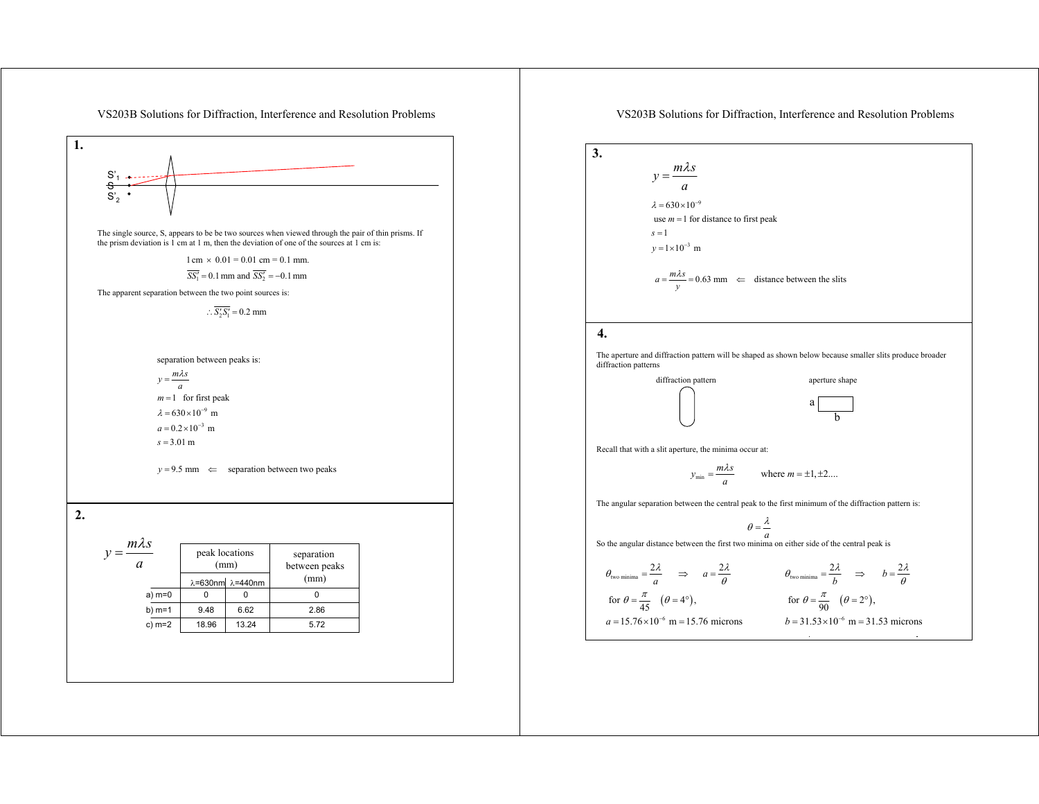

## VS203B Solutions for Diffraction, Interference and Resolution Problems

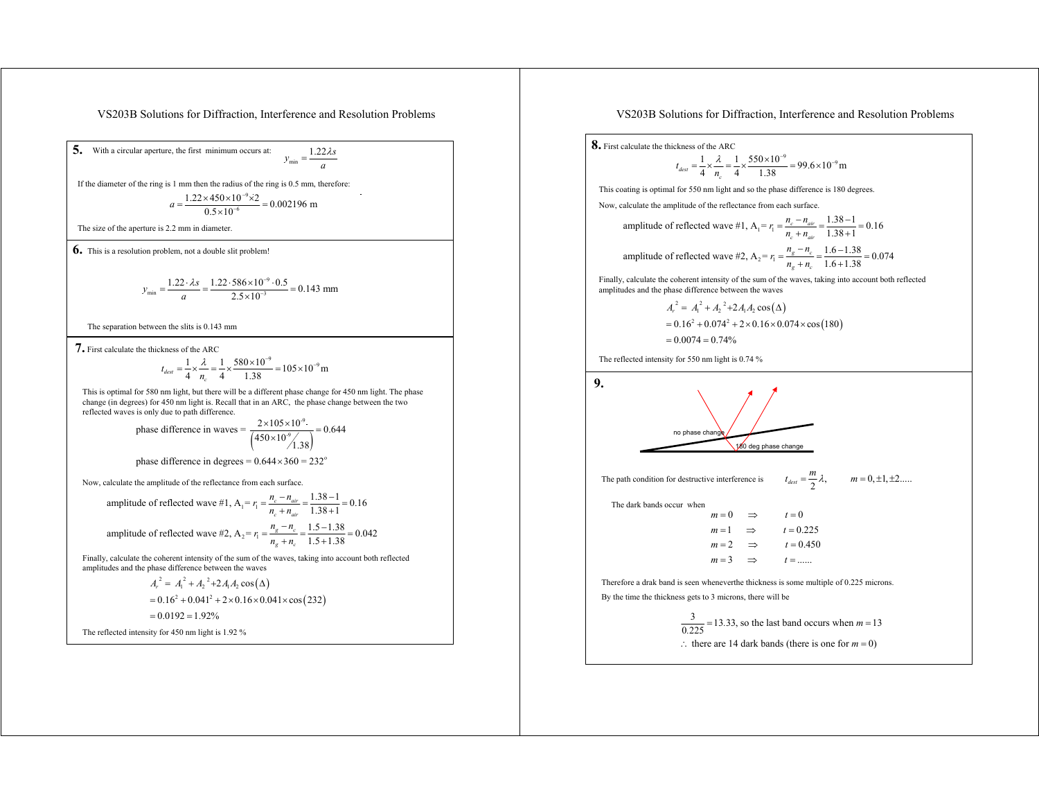VS203B Solutions for Diffraction, Interference and Resolution Problems

**5.** With a circular aperture, the first minimum occurs at:  $y_{\min} = \frac{1.22 \lambda s}{a}$  $=\frac{1.22\lambda}{5}$ 

If the diameter of the ring is 1 mm then the radius of the ring is 0.5 mm, therefore:

$$
a = \frac{1.22 \times 450 \times 10^{-9} \times 2}{0.5 \times 10^{-6}} = 0.002196 \text{ m}
$$

The size of the aperture is 2.2 mm in diameter.

**6.** This is a resolution problem, not a double slit problem!

$$
y_{\min} = \frac{1.22 \cdot \lambda s}{a} = \frac{1.22 \cdot 586 \times 10^{-9} \cdot 0.5}{2.5 \times 10^{-3}} = 0.143 \text{ mm}
$$

The separation between the slits is 0.143 mm

**7.** First calculate the thickness of the ARC

$$
t_{dest} = \frac{1}{4} \times \frac{\lambda}{n_c} = \frac{1}{4} \times \frac{580 \times 10^{-9}}{1.38} = 105 \times 10^{-9} \,\mathrm{m}
$$

This is optimal for 580 nm light, but there will be a different phase change for 450 nm light. The phase change (in degrees) for 450 nm light is. Recall that in an ARC, the phase change between the two reflected waves is only due to path difference.

phase difference in waves = 
$$
\frac{2 \times 10^5 \times 10^9}{\left(\frac{450 \times 10^9}{1.38}\right)} = 0.644
$$

phase difference in degrees = 
$$
0.644 \times 360 = 232
$$

Now, calculate the amplitude of the reflectance from each surface.

amplitude of reflected wave #1, A<sub>1</sub> = 
$$
r_1 = \frac{n_c - n_{air}}{n_c + n_{air}} = \frac{1.38 - 1}{1.38 + 1} = 0.16
$$
  
amplitude of reflected wave #2, A<sub>2</sub> =  $r_1 = \frac{n_s - n_c}{n_g + n_c} = \frac{1.5 - 1.38}{1.5 + 1.38} = 0.042$ 

Finally, calculate the coherent intensity of the sum of the waves, taking into account both reflected amplitudes and the phase difference between the waves

$$
A_r^2 = A_1^2 + A_2^2 + 2A_1A_2 \cos(\Delta)
$$
  
= 0.16<sup>2</sup> + 0.041<sup>2</sup> + 2 × 0.16 × 0.041 × cos(232)  
= 0.0192 = 1.92%

The reflected intensity for 450 nm light is 1.92 %

## VS203B Solutions for Diffraction, Interference and Resolution Problems

1.38 1

**8.** First calculate the thickness of the ARC

$$
t_{dest} = \frac{1}{4} \times \frac{\lambda}{n_e} = \frac{1}{4} \times \frac{550 \times 10^{-9}}{1.38} = 99.6 \times 10^{-9} \,\mathrm{m}
$$

This coating is optimal for 550 nm light and so the phase difference is 180 degrees.

Now, calculate the amplitude of the reflectance from each surface.

amplitude of reflected wave #1, A<sub>1</sub> = 
$$
r_1 = \frac{n_c - n_{air}}{n_c + n_{air}} = \frac{1.38 - 1}{1.38 + 1} = 0.16
$$
  
amplitude of reflected wave #2, A<sub>2</sub> =  $r_1 = \frac{n_s - n_c}{n_g + n_c} = \frac{1.6 - 1.38}{1.6 + 1.38} = 0.074$ 

Finally, calculate the coherent intensity of the sum of the waves, taking into account both reflected amplitudes and the phase difference between the waves

$$
A_r^2 = A_1^2 + A_2^2 + 2A_1A_2 \cos(\Delta)
$$
  
= 0.16<sup>2</sup> + 0.074<sup>2</sup> + 2 × 0.16 × 0.074 × cos(180)  
= 0.0074 = 0.74%

The reflected intensity for 550 nm light is 0.74 %



 $\frac{3}{0.225}$  = 13.33, so the last band occurs when  $m = 13$  $\therefore$  there are 14 dark bands (there is one for  $m = 0$ )